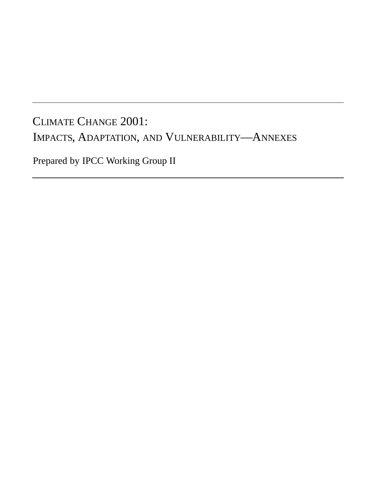## CLIMATE CHANGE 2001: IMPACTS, ADAPTATION, AND VULNERABILITY—ANNEXES

Prepared by IPCC Working Group II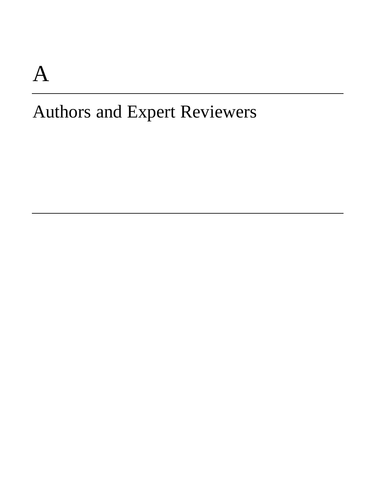# A

## Authors and Expert Reviewers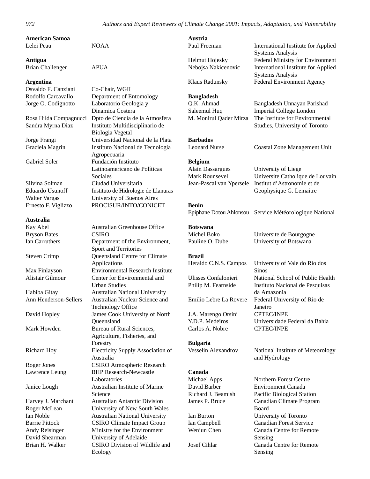**American Samoa** Lelei Peau NOAA

**Antigua**

## Brian Challenger APUA

#### **Argentina**

#### **Australia**

Bryson Bates CSIRO

Osvaldo F. Canziani Co-Chair, WGII Rodolfo Carcavallo Department of Entomology Jorge O. Codignotto Laboratorio Geologia y Dinamica Costera Rosa Hilda Compagnucci Dpto de Ciencia de la Atmosfera Sandra Myrna Diaz Instituto Multidisciplinario de Biologia Vegetal Jorge Frangi Universidad Nacional de la Plata Graciela Magrin Instituto Nacional de Tecnologia Agropecuaria Gabriel Soler Fundación Instituto Latinoamericano de Políticas Sociales Silvina Solman Ciudad Universitaria Eduardo Usunoff Instituto de Hidrologie de Llanuras Walter Vargas University of Buenos Aires Ernesto F. Viglizzo PROCISUR/INTO/CONICET

Kay Abel Australian Greenhouse Office Ian Carruthers Department of the Environment, Sport and Territories Steven Crimp Queensland Centre for Climate Applications Max Finlayson Environmental Research Institute Alistair Gilmour Center for Environmental and Urban Studies Habiba Gitay Australian National University Ann Henderson-Sellers Australian Nuclear Science and Technology Office David Hopley James Cook University of North **Oueensland** Mark Howden Bureau of Rural Sciences, Agriculture, Fisheries, and Forestry Richard Hoy Electricity Supply Association of Australia Roger Jones CSIRO Atmospheric Research Lawrence Leung BHP Research-Newcastle Laboratories Janice Lough Australian Institute of Marine Science Harvey J. Marchant Australian Antarctic Division Roger McLean University of New South Wales Ian Noble Australian National University Barrie Pittock CSIRO Climate Impact Group Andy Reisinger Ministry for the Environment David Shearman University of Adelaide Brian H. Walker CSIRO Division of Wildlife and Ecology

**Austria** Paul Freeman International Institute for Applied

Helmut Hojesky Federal Ministry for Environment Nebojsa Nakicenovic International Institute for Applied

Klaus Radunsky Federal Environment Agency

### **Bangladesh**

Q.K. Ahmad Bangladesh Unnayan Parishad Saleemul Huq Imperial College London M. Monirul Qader Mirza The Institute for Environmental

**Barbados**

Leonard Nurse Coastal Zone Management Unit

Studies, University of Toronto

Systems Analysis

Systems Analysis

#### **Belgium**

Alain Dassargues University of Liege Mark Rounsevell Universite Catholique de Louvain Jean-Pascal van Ypersele Institut d'Astronomie et de Geophysique G. Lemaitre

### **Benin**

Epiphane Dotou Ahlonsou Service Météorologique National

**Botswana**

Michel Boko Universite de Bourgogne Pauline O. Dube University of Botswana

#### **Brazil**

J.A. Marengo Orsini CPTEC/INPE Carlos A. Nobre CPTEC/INPE

**Bulgaria**

#### **Canada**

Heraldo C.N.S. Campos University of Vale do Rio dos Sinos Ulisses Confalonieri National School of Public Health Philip M. Fearnside Instituto Nacional de Pesquisas da Amazonia Emilio Lebre La Rovere Federal University of Rio de Janeiro Y.D.P. Medeiros Universidade Federal da Bahia

Vesselin Alexandrov National Institute of Meteorology and Hydrology

Michael Apps Northern Forest Centre David Barber Environment Canada Richard J. Beamish Pacific Biological Station James P. Bruce Canadian Climate Program Board Ian Burton University of Toronto Ian Campbell Canadian Forest Service Wenjun Chen Canada Centre for Remote Sensing Josef Cihlar Canada Centre for Remote Sensing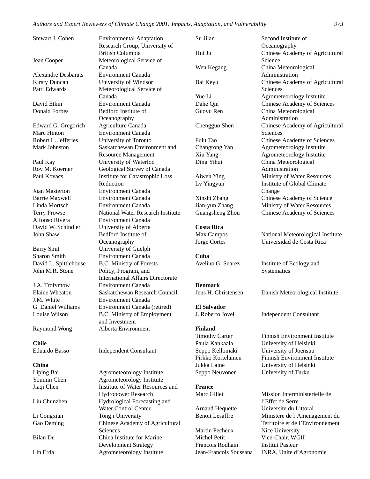Edward G. Gregorich Agriculture Canada

Barry Smit University of Guelph Sharon Smith Environment Canada John M.R. Stone Policy, Program, and

**Chile**

#### **China**

Stewart J. Cohen Environmental Adaptation Research Group, University of British Columbia Jean Cooper Meteorological Service of Canada Alexandre Desbarats Environment Canada Kirsty Duncan University of Windsor Patti Edwards Meteorological Service of Canada David Etkin Environment Canada Donald Forbes Bedford Institute of **Oceanography** Marc Hinton Environment Canada Robert L. Jefferies University of Toronto Mark Johnston Saskatchewan Environment and Resource Management Paul Kay University of Waterloo Roy M. Koerner Geological Survey of Canada Paul Kovacs Institute for Catastrophic Loss Reduction Joan Masterton Environment Canada Barrie Maxwell Environment Canada Linda Mortsch Environment Canada Terry Prowse National Water Research Institute Alfonso Rivera Environment Canada David W. Schindler University of Alberta John Shaw Bedford Institute of **Oceanography** David L. Spittlehouse B.C. Ministry of Forests International Affairs Directorate J.A. Trofymow Environment Canada Elaine Wheaton Saskatchewan Research Council<br>
I M White Environment Canada **Environment Canada** G. Daniel Williams Environment Canada (retired) Louise Wilson B.C. Ministry of Employment and Investment Raymond Wong Alberta Environment

Eduardo Basso Independent Consultant

Liping Bai Agrometeorology Institute Youmin Chen Agrometeorology Institute Jiaqi Chen Institute of Water Resources and Hydropower Research Liu Chunzhen Hydrological Forecasting and Water Control Center Li Congxian Tongji University Gao Deming Chinese Academy of Agricultural Sciences Bilan Du China Institute for Marine Development Strategy Lin Erda Agrometeorology Institute

| Su Jilan                                         | Second Institute of                                               |
|--------------------------------------------------|-------------------------------------------------------------------|
|                                                  | Oceanography                                                      |
| Hui Ju                                           | Chinese Academy of Agricultural                                   |
|                                                  | Science                                                           |
| Wen Kegang                                       | China Meteorological                                              |
|                                                  | Administration                                                    |
| Bai Keyu                                         | Chinese Academy of Agricultural                                   |
|                                                  | Sciences                                                          |
| Yue Li                                           | Agrometeorology Instutite                                         |
| Dahe Qin                                         | Chinese Academy of Sciences                                       |
| Guoyu Ren                                        | China Meteorological                                              |
|                                                  | Administration                                                    |
| Chengguo Shen                                    | Chinese Academy of Agricultural                                   |
|                                                  | Sciences                                                          |
| Fulu Tao                                         | Chinese Academy of Sciences                                       |
| Changrong Yan                                    | Agrometeorology Instutite                                         |
| Xiu Yang                                         | Agrometeorology Instutite                                         |
| Ding Yihui                                       | China Meteorological                                              |
|                                                  | Administration                                                    |
| Aiwen Ying                                       | Ministry of Water Resources                                       |
| Lv Yingyun                                       | Institute of Global Climate                                       |
|                                                  | Change                                                            |
| Xinshi Zhang                                     | Chinese Academy of Science                                        |
| Jian-yun Zhang                                   | Ministry of Water Resources                                       |
| Guangsheng Zhou                                  | Chinese Academy of Sciences                                       |
| <b>Costa Rica</b>                                |                                                                   |
| Max Campos                                       | National Meteorological Institute                                 |
| Jorge Cortes                                     | Universidad de Costa Rica                                         |
|                                                  |                                                                   |
| Cuba                                             |                                                                   |
| Avelino G. Suarez                                | Institute of Ecology and                                          |
|                                                  | Systematics                                                       |
| <b>Denmark</b>                                   |                                                                   |
| Jens H. Christensen                              | Danish Meteorological Institute                                   |
|                                                  |                                                                   |
| <b>El Salvador</b>                               |                                                                   |
| J. Roberto Jovel                                 | <b>Independent Consultant</b>                                     |
| Finland                                          |                                                                   |
| <b>Timothy Carter</b>                            | <b>Finnish Environment Institute</b>                              |
| Paula Kankaala                                   | University of Helsinki                                            |
| Seppo Kellomaki                                  | University of Joensuu                                             |
| Pirkko Kortelainen                               | <b>Finnish Environment Institute</b>                              |
| Jukka Laine                                      | University of Helsinki                                            |
| Seppo Neuvonen                                   | University of Turku                                               |
|                                                  |                                                                   |
| <b>France</b>                                    |                                                                   |
| Marc Gillet                                      | Mission Interministerielle de                                     |
|                                                  | l'Effet de Serre<br>Universite du Littoral                        |
| <b>Arnaud Hequette</b><br><b>Benoit Lesaffre</b> |                                                                   |
|                                                  | Ministere de l'Amenagement du<br>Territoire et de l'Environnement |
| Martin Pecheux                                   | Nice University                                                   |
| Michel Petit                                     | Vice-Chair. WGII                                                  |
|                                                  |                                                                   |

Francois Rodhain Institut Pasteur

Jean-Francois Soussana INRA, Unite d'Agronomie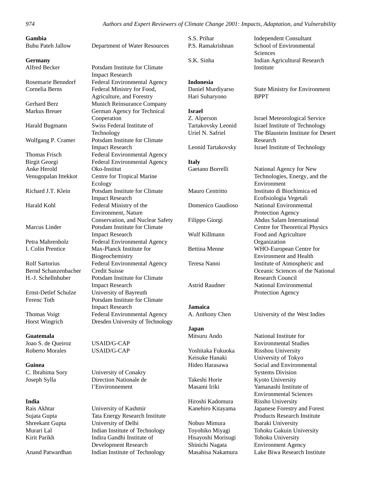**India**

*974 Authors and Expert Reviewers of Climate Change 2001: Impacts, Adaptation, and Vulnerability*

| Gambia<br><b>Bubu Pateh Jallow</b> | Department of Water Resources                           |
|------------------------------------|---------------------------------------------------------|
| <b>Germany</b>                     |                                                         |
| Alfred Becker                      | Potsdam Institute for Climate<br><b>Impact Research</b> |
| Rosemarie Benndorf                 | Federal Environmental Agency                            |
| Cornelia Berns                     | Federal Ministry for Food,                              |
|                                    | Agriculture, and Forestry                               |
| <b>Gerhard Berz</b>                | Munich Reinsurance Company                              |
| Markus Breuer                      | German Agency for Technical<br>Cooperation              |
| Harald Bugmann                     | Swiss Federal Institute of                              |
|                                    | Technology                                              |
| Wolfgang P. Cramer                 | Potsdam Institute for Climate<br><b>Impact Research</b> |
| Thomas Frisch                      | Federal Environmental Agency                            |
| <b>Birgit Georgi</b>               | <b>Federal Environmental Agency</b>                     |
| Anke Herold                        | Oko-Institut                                            |
| Venugopalan Ittekkot               | Centre for Tropical Marine                              |
|                                    | Ecology                                                 |
| Richard J.T. Klein                 | Potsdam Institute for Climate                           |
|                                    | <b>Impact Research</b>                                  |
| Harald Kohl                        | Federal Ministry of the                                 |
|                                    | Environment, Nature                                     |
|                                    | Conservation, and Nuclear Safety                        |
| Marcus Linder                      | Potsdam Institute for Climate                           |
|                                    | <b>Impact Research</b>                                  |
| Petra Mahrenholz                   | Federal Environmental Agency                            |
| <b>I. Colin Prentice</b>           | Max-Planck Institute for                                |
|                                    | Biogeochemistry                                         |
| <b>Rolf Sartorius</b>              | Federal Environmental Agency                            |
| Bernd Schanzenbacher               | <b>Credit Suisse</b>                                    |
| H.-J. Schellnhuber                 | Potsdam Institute for Climate                           |
|                                    | <b>Impact Research</b>                                  |
| Ernst-Detlef Schulze               | University of Bayreuth                                  |
| Ferenc Toth                        | Potsdam Institute for Climate                           |
|                                    | <b>Impact Research</b>                                  |
| Thomas Voigt                       | Federal Environmental Agency                            |
| Horst Wingrich                     | Dresden University of Technology                        |
| <b>Guatemala</b>                   |                                                         |
| Joao S. de Queiroz                 | <b>USAID/G-CAP</b>                                      |
| <b>Roberto Morales</b>             | <b>USAID/G-CAP</b>                                      |
| Guinea                             |                                                         |
| C. Ibrahima Sory                   | University of Conakry                                   |
| Joseph Sylla                       | Direction Nationale de                                  |
|                                    | l'Environnement                                         |

Rais Akhtar University of Kashmir Sujata Gupta Tata Energy Research Institute Shreekant Gupta University of Delhi Murari Lal Indian Institute of Technology Kirit Parikh Indira Gandhi Institute of Development Research Anand Patwardhan Indian Institute of Technology

**Indonesia** Hari Suharyono BPPT

**Israel**

**Italy**

**Jamaica**

**Japan**

Hiroshi Kadomura Rissho University

Nobuo Mimura Ibaraki University Hisayoshi Morisugi Tohoku University Shinichi Nagata Environment Agency

S.S. Prihar Independent Consultant P.S. Ramakrishnan School of Environmental **Sciences** S.K. Sinha Indian Agricultural Research Institute

Daniel Murdiyarso State Ministry for Environment

Z. Alperson Israel Meteorological Service Tartakovsky Leonid Israel Institute of Technology Uriel N. Safriel The Blaustein Institute for Desert Research Leonid Tartakovsky Israel Institute of Technology

Gaetano Borrelli National Agency for New Technologies, Energy, and the Environment Mauro Centritto Instituto di Biochimica ed Ecofisiologia Vegetali Domenico Gaudioso National Environmental Protection Agency Filippo Giorgi Abdus Salam International Centre for Theoretical Physics Wulf Killmann Food and Agriculture Organization Bettina Menne WHO-European Centre for Environment and Health Teresa Nanni Institute of Atmospheric and Oceanic Sciences of the National Research Council Astrid Raudner National Environmental Protection Agency

A. Anthony Chen University of the West Indies

Mitsuru Ando National Institute for Environmental Studies Yoshitaka Fukuoka Risshou University Keisuke Hanaki University of Tokyo Hideo Harasawa Social and Environmental Systems Division Takeshi Horie Kyoto University Masami Iriki Yamanashi Institute of Environmental Sciences Kanehiro Kitayama Japanese Forestry and Forest Products Research Institute Toyohiko Miyagi Tohoku Gakuin University Masahisa Nakamura Lake Biwa Research Institute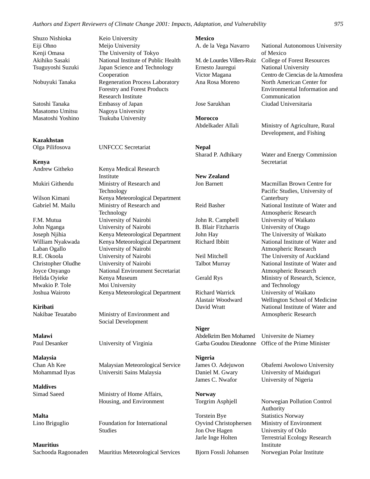Shuzo Nishioka Keio University Eiji Ohno Meijo University

Satoshi Tanaka Embassy of Japan Masatomo Umitsu Nagoya University Masatoshi Yoshino Tsukuba University

#### **Kazakhstan**

**Kenya**

Helida Oyieke Kenya Museum Mwakio P. Tole Moi University

**Kiribati**

**Malawi**

**Malaysia**

**Maldives**

**Malta**

**Mauritius**

Kenji Omasa The University of Tokyo Akihiko Sasaki National Institute of Public Health Tsuguyoshi Suzuki Japan Science and Technology Cooperation Nobuyuki Tanaka Regeneration Process Laboratory Forestry and Forest Products Research Institute

Olga Pilifosova UNFCCC Secretariat

Andrew Githeko Kenya Medical Research Institute Mukiri Githendu Ministry of Research and Technology Wilson Kimani Kenya Meteorological Department Gabriel M. Mailu Ministry of Research and Technology F.M. Mutua University of Nairobi John Nganga University of Nairobi Joseph Njihia Kenya Meteorological Department William Nyakwada Kenya Meteorological Department Laban Ogallo University of Nairobi R.E. Okoola University of Nairobi Christopher Oludhe University of Nairobi Joyce Onyango National Environment Secretariat Joshua Wairoto Kenya Meteorological Department

Nakibae Teuatabo Ministry of Environment and Social Development

Paul Desanker University of Virginia

Chan Ah Kee Malaysian Meteorological Service Mohammad Ilyas Universiti Sains Malaysia

Simad Saeed Ministry of Home Affairs, Housing, and Environment

Lino Briguglio Foundation for International Studies

Sachooda Ragoonaden Mauritius Meteorological Services

**Mexico** A. de la Vega Navarro National Autonomous University of Mexico M. de Lourdes Villers-Ruiz College of Forest Resources Ernesto Jauregui National University Victor Magana Centro de Ciencias de la Atmosfera Ana Rosa Moreno North American Center for Environmental Information and Communication Jose Sarukhan Ciudad Universitaria **Morocco** Abdelkader Allali Ministry of Agriculture, Rural Development, and Fishing **Nepal** Sharad P. Adhikary Water and Energy Commission Secretariat **New Zealand** Jon Barnett Macmillan Brown Centre for Pacific Studies, University of **Canterbury** Reid Basher National Institute of Water and Atmospheric Research John R. Campbell University of Waikato B. Blair Fitzharris University of Otago John Hay The University of Waikato Richard Ibbitt National Institute of Water and Atmospheric Research Neil Mitchell The University of Auckland Talbot Murray National Institute of Water and Atmospheric Research Gerald Rys Ministry of Research, Science, and Technology Richard Warrick University of Waikato Alastair Woodward Wellington School of Medicine David Wratt National Institute of Water and Atmospheric Research **Niger** Abdelkrim Ben Mohamed Universite de Niamey Garba Goudou Dieudonne Office of the Prime Minister **Nigeria** James O. Adejuwon Obafemi Awolowo University Daniel M. Gwary University of Maiduguri James C. Nwafor University of Nigeria **Norway** Torgrim Asphjell Norwegian Pollution Control Authority Torstein Bye Statistics Norway Oyvind Christophersen Ministry of Environment Jon Ove Hagen University of Oslo Jarle Inge Holten Terrestrial Ecology Research Institute

Bjorn Fossli Johansen Norwegian Polar Institute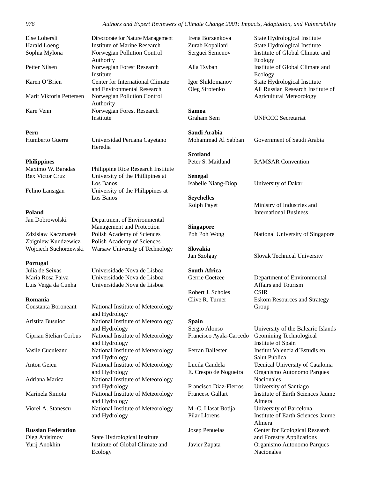| Directorate for N |
|-------------------|
| Institute of Mar  |
| Norwegian Poll    |
| Authority         |
| Norwegian Fore    |
| Institute         |
| Center for Inter  |
| and Environmer    |
| Norwegian Poll    |
| Authority         |
| Norwegian Fore    |
| Institute         |
|                   |

#### **Peru**

#### **Philippines**

#### **Poland**

#### **Portugal**

#### **Romania**

| Constanta Boroneant    | National Institute of Meteorology<br>and Hydrology |
|------------------------|----------------------------------------------------|
| Aristita Busuioc       | National Institute of Meteorology<br>and Hydrology |
| Ciprian Stelian Corbus | National Institute of Meteorology<br>and Hydrology |
| Vasile Cuculeanu       | National Institute of Meteorology<br>and Hydrology |
| Anton Geicu            | National Institute of Meteorology<br>and Hydrology |
| Adriana Marica         | National Institute of Meteorology<br>and Hydrology |
| Marinela Simota        | National Institute of Meteorology<br>and Hydrology |
| Viorel A. Stanescu     | National Institute of Meteorology<br>and Hydrology |
|                        |                                                    |

#### **Russian Federation**

Vature Management ine Research lution Control est Research national Climate ntal Research lution Control est Research

Humberto Guerra Universidad Peruana Cayetano Heredia

Maximo W. Baradas Philippine Rice Research Institute Rex Victor Cruz University of the Phillipines at Los Banos Felino Lansigan University of the Philippines at Los Banos

Jan Dobrowolski Department of Environmental Management and Protection Zdzislaw Kaczmarek Polish Academy of Sciences Zbigniew Kundzewicz Polish Academy of Sciences Wojciech Suchorzewski Warsaw University of Technology

Julia de Seixas Universidade Nova de Lisboa Maria Rosa Paiva Universidade Nova de Lisboa Luis Veiga da Cunha Universidade Nova de Lisboa

| National Institute of Meteorology |
|-----------------------------------|
| and Hydrology                     |
| National Institute of Meteorology |
| and Hydrology                     |
| National Institute of Meteorology |
| and Hydrology                     |
| National Institute of Meteorology |
| and Hydrology                     |
| National Institute of Meteorology |
| and Hydrology                     |
| National Institute of Meteorology |
| and Hydrology                     |
| National Institute of Meteorology |
| and Hydrology                     |
| National Institute of Meteorology |
| and Hydrology                     |
|                                   |

Oleg Anisimov State Hydrological Institute Yurij Anokhin Institute of Global Climate and Ecology

**Samoa**

**Saudi Arabia**

**Scotland**

**Senegal** Isabelle Niang-Diop University of Dakar

**Seychelles**

**Singapore**

**Slovakia**

**South Africa**

Robert J. Scholes CSIR

#### **Spain**

Irena Borzenkova State Hydrological Institute Zurab Kopaliani State Hydrological Institute Serguei Semenov Institute of Global Climate and Ecology Alla Tsyban Institute of Global Climate and Ecology Igor Shiklomanov State Hydrological Institute Oleg Sirotenko All Russian Research Institute of Agricultural Meteorology

Graham Sem UNFCCC Secretariat

Mohammad Al Sabban Government of Saudi Arabia

Peter S. Maitland RAMSAR Convention

Rolph Payet Ministry of Industries and International Business

Poh Poh Wong National University of Singapore

Jan Szolgay Slovak Technical University

Gerrie Coetzee Department of Environmental Affairs and Tourism Clive R. Turner Eskom Resources and Strategy Group

Sergio Alonso University of the Balearic Islands Francisco Ayala-Carcedo Geomining Technological Institute of Spain Ferran Ballester Institut Valencia d'Estudis en Salut Publica Lucila Candela Tecnical University of Catalonia E. Crespo de Nogueira Organismo Autonomo Parques Nacionales Francisco Diaz-Fierros University of Santiago Francesc Gallart Institute of Earth Sciences Jaume Almera M.-C. Llasat Botija University of Barcelona Pilar Llorens Institute of Earth Sciences Jaume Almera Josep Penuelas Center for Ecological Research and Forestry Applications Javier Zapata Organismo Autonomo Parques Nacionales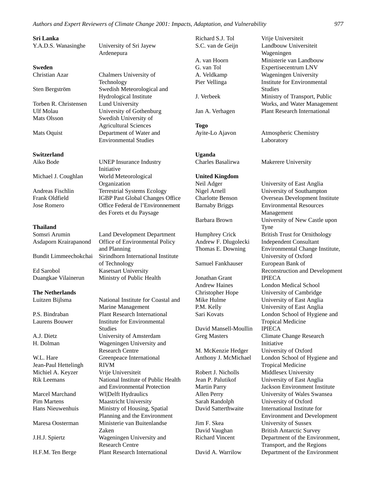#### **Sri Lanka**

#### **Sweden**

Torben R. Christensen Lund University Mats Olsson Swedish University of

#### **Switzerland**

#### **Thailand**

#### **The Netherlands**

Jean-Paul Hettelingh RIVM Michiel A. Keyzer Vrije Universiteit

Y.A.D.S. Wanasinghe University of Sri Jayew Ardenepura

Christian Azar Chalmers University of Technology Sten Bergström Swedish Meteorological and Hydrological Institute Ulf Molau University of Gothenburg Agricultural Sciences Mats Oquist **Department of Water and** Environmental Studies

Aiko Bode UNEP Insurance Industry Initiative Michael J. Coughlan World Meteorological Organization Andreas Fischlin Terrestrial Systems Ecology Frank Oldfield **IGBP** Past Global Changes Office Jose Romero **Office Federal de l'Environnement** des Forets et du Paysage

Somsri Arumin Land Development Department Asdaporn Krairapanond Office of Environmental Policy and Planning Bundit Limmeechokchai Sirindhorn International Institute of Technology Ed Sarobol Kasetsart University Duangkae Vilainerun Ministry of Public Health

Luitzen Bijlsma National Institute for Coastal and Marine Management P.S. Bindraban Plant Research International Laurens Bouwer Institute for Environmental Studies A.J. Dietz University of Amsterdam H. Dolman Wageningen University and Research Centre W.L. Hare Greenpeace International Rik Leemans National Institute of Public Health and Environmental Protection Marcel Marchand Wl|Delft Hydraulics Pim Martens Maastricht University Hans Nieuwenhuis Ministry of Housing, Spatial Planning and the Environment Maresa Oosterman Ministerie van Buitenlandse Zaken J.H.J. Spiertz Wageningen University and Research Centre H.F.M. Ten Berge Plant Research International

Richard S.J. Tol Vrije Universiteit S.C. van de Geijn Landbouw Universiteit Wageningen A. van Hoorn Ministerie van Landbouw G. van Tol Expertisecentrum LNV A. Veldkamp Wageningen University Pier Vellinga **Institute for Environmental Studies** J. Verbeek Ministry of Transport, Public Works, and Water Management Jan A. Verhagen Plant Research International **Togo** Ayite-Lo Ajavon Atmospheric Chemistry Laboratory **Uganda** Charles Basalirwa Makerere University **United Kingdom** Neil Adger University of East Anglia Nigel Arnell University of Southampton Charlotte Benson Overseas Development Institute Barnaby Briggs Environmental Resources Management Barbara Brown University of New Castle upon Tyne Humphrey Crick British Trust for Ornithology Andrew F. Dlugolecki Independent Consultant Thomas E. Downing Environmental Change Institute, University of Oxford Samuel Fankhauser European Bank of Reconstruction and Development Jonathan Grant IPIECA Andrew Haines London Medical School Christopher Hope University of Cambridge Mike Hulme University of East Anglia P.M. Kelly University of East Anglia Sari Kovats London School of Hygiene and Tropical Medicine David Mansell-Moullin IPIECA Greg Masters Climate Change Research Initiative M. McKenzie Hedger University of Oxford Anthony J. McMichael London School of Hygiene and Tropical Medicine Robert J. Nicholls Middlesex University<br>Jean P. Palutikof University of East An University of East Anglia Martin Parry Jackson Environment Institute Allen Perry University of Wales Swansea Sarah Randolph University of Oxford David Satterthwaite International Institute for Environment and Development Jim F. Skea University of Sussex David Vaughan British Antarctic Survey Richard Vincent Department of the Environment, Transport, and the Regions David A. Warrilow Department of the Environment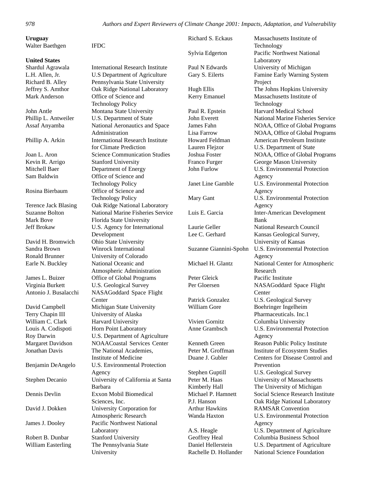| Uruguay                     |                                         | Richard S. Eckaus       | Massachusetts Institute of        |
|-----------------------------|-----------------------------------------|-------------------------|-----------------------------------|
| Walter Baethgen             | <b>IFDC</b>                             |                         | Technology                        |
|                             |                                         | Sylvia Edgerton         | <b>Pacific Northwest National</b> |
| <b>United States</b>        |                                         |                         | Laboratory                        |
| Shardul Agrawala            | <b>International Research Institute</b> | Paul N Edwards          | University of Michigan            |
| L.H. Allen, Jr.             | <b>U.S Department of Agriculture</b>    | Gary S. Eilerts         | Famine Early Warning System       |
| Richard B. Alley            | Pennsylvania State University           |                         | Project                           |
| Jeffrey S. Amthor           | Oak Ridge National Laboratory           | Hugh Ellis              | The Johns Hopkins University      |
| Mark Anderson               | Office of Science and                   | Kerry Emanuel           | Massachusetts Institute of        |
|                             | <b>Technology Policy</b>                |                         | Technology                        |
| John Antle                  | Montana State University                | Paul R. Epstein         | <b>Harvard Medical School</b>     |
| Phillip L. Antweiler        | U.S. Department of State                | John Everett            | National Marine Fisheries Service |
| Assaf Anyamba               | National Aeronautics and Space          | James Fahn              | NOAA, Office of Global Programs   |
|                             | Administration                          | Lisa Farrow             | NOAA, Office of Global Programs   |
| Phillip A. Arkin            | <b>International Research Institute</b> | Howard Feldman          | American Petroleum Institute      |
|                             | for Climate Prediction                  | Lauren Flejzor          | U.S. Department of State          |
| Joan L. Aron                | <b>Science Communication Studies</b>    | Joshua Foster           | NOAA, Office of Global Programs   |
| Kevin R. Arrigo             | <b>Stanford University</b>              | Franco Furger           | George Mason University           |
| Mitchell Baer               | Department of Energy                    | John Furlow             | U.S. Environmental Protection     |
| Sam Baldwin                 | Office of Science and                   |                         | Agency                            |
|                             | <b>Technology Policy</b>                | Janet Line Gamble       | U.S. Environmental Protection     |
| Rosina Bierbaum             | Office of Science and                   |                         | Agency                            |
|                             | <b>Technology Policy</b>                | Mary Gant               | U.S. Environmental Protection     |
| <b>Terence Jack Blasing</b> | Oak Ridge National Laboratory           |                         | Agency                            |
| <b>Suzanne Bolton</b>       | National Marine Fisheries Service       | Luis E. Garcia          | <b>Inter-American Development</b> |
| Mark Bove                   | Florida State University                |                         | Bank                              |
| Jeff Brokaw                 | U.S. Agency for International           | Laurie Geller           | National Research Council         |
|                             | Development                             | Lee C. Gerhard          | Kansas Geological Survey,         |
| David H. Bromwich           | Ohio State University                   |                         | University of Kansas              |
| Sandra Brown                | Winrock International                   | Suzanne Giannini-Spohn  | U.S. Environmental Protection     |
| <b>Ronald Brunner</b>       | University of Colorado                  |                         | Agency                            |
| Earle N. Buckley            | National Oceanic and                    | Michael H. Glantz       | National Center for Atmospheric   |
|                             | Atmospheric Administration              |                         | Research                          |
| James L. Buizer             | Office of Global Programs               | Peter Gleick            | Pacific Institute                 |
| Virginia Burkett            | U.S. Geological Survey                  | Per Gloersen            | NASAGoddard Space Flight          |
| Antonio J. Busalacchi       | NASAGoddard Space Flight                |                         | Center                            |
|                             | Center                                  | <b>Patrick Gonzalez</b> | U.S. Geological Survey            |
| David Campbell              | Michigan State University               | William Gore            | Boehringer Ingelheim              |
| Terry Chapin III            | University of Alaska                    |                         | Pharmaceuticals. Inc.1            |
| William C. Clark            | Harvard University                      | Vivien Gornitz          | Columbia University               |
| Louis A. Codispoti          | Horn Point Laboratory                   | Anne Grambsch           | U.S. Environmental Protection     |
| Roy Darwin                  | U.S. Department of Agriculture          |                         | Agency                            |
| <b>Margaret Davidson</b>    | NOAACoastal Services Center             | Kenneth Green           | Reason Public Policy Institute    |
| Jonathan Davis              | The National Academies,                 | Peter M. Groffman       | Institute of Ecosystem Studies    |
|                             | Institute of Medicine                   | Duane J. Gubler         | Centers for Disease Control and   |
| Benjamin DeAngelo           | U.S. Environmental Protection           |                         | Prevention                        |
|                             | Agency                                  | Stephen Guptill         | <b>U.S. Geological Survey</b>     |
| Stephen Decanio             | University of California at Santa       | Peter M. Haas           | University of Massachusetts       |
|                             | <b>Barbara</b>                          | Kimberly Hall           | The University of Michigan        |
| Dennis Devlin               | Exxon Mobil Biomedical                  | Michael P. Hamnett      | Social Science Research Institute |
|                             | Sciences, Inc.                          | P.J. Hanson             | Oak Ridge National Laboratory     |
| David J. Dokken             | University Corporation for              | <b>Arthur Hawkins</b>   | <b>RAMSAR</b> Convention          |
|                             | Atmospheric Research                    | Wanda Haxton            | U.S. Environmental Protection     |
| James J. Dooley             | Pacific Northwest National              |                         | Agency                            |
|                             | Laboratory                              | A.S. Heagle             | U.S. Department of Agriculture    |
| Robert B. Dunbar            | <b>Stanford University</b>              | Geoffrey Heal           | Columbia Business School          |
| William Easterling          | The Pennsylvania State                  | Daniel Hellerstein      | U.S. Department of Agriculture    |
|                             | University                              | Rachelle D. Hollander   | National Science Foundation       |
|                             |                                         |                         |                                   |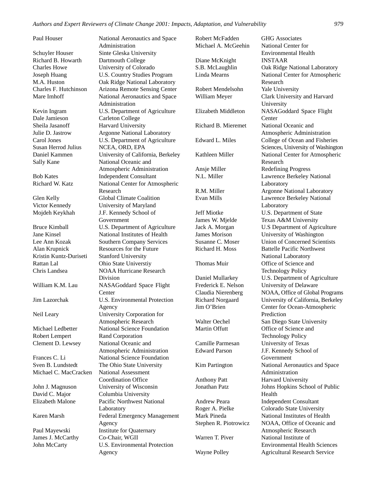Richard B. Howarth Dartmouth College

Dale Jamieson Carleton College Sheila Jasanoff Harvard University Susan Herrod Julius NCEA, ORD, EPA

Kristin Kuntz-Duriseti Stanford University Rattan Lal Ohio State Universtiy

Robert Lempert Rand Corporation

Michael C. MacCracken National Assessment

James J. McCarthy Co-Chair, WGII

Paul Houser National Aeronautics and Space Administration Schuyler Houser Sinte Gleska University Charles Howe University of Colorado Joseph Huang U.S. Country Studies Program M.A. Huston Oak Ridge National Laboratory Charles F. Hutchinson Arizona Remote Sensing Center Mare Imhoff National Aeronautics and Space Administration Kevin Ingram U.S. Department of Agriculture Julie D. Jastrow Argonne National Laboratory Carol Jones U.S. Department of Agriculture Daniel Kammen University of California, Berkeley Sally Kane National Oceanic and Atmospheric Administration Bob Kates Independent Consultant Richard W. Katz National Center for Atmospheric Research Glen Kelly Global Climate Coalition Victor Kennedy University of Maryland Mojdeh Keykhah J.F. Kennedy School of Government Bruce Kimball **U.S.** Department of Agriculture Jane Kinsel National Institutes of Health Lee Ann Kozak Southern Company Services Alan Krupnick Resources for the Future Chris Landsea NOAA Hurricane Research Division William K.M. Lau NASAGoddard Space Flight **Center** Jim Lazorchak U.S. Environmental Protection Agency Neil Leary University Corporation for Atmospheric Research Michael Ledbetter National Science Foundation Clement D. Lewsey National Oceanic and Atmospheric Administration Frances C. Li National Science Foundation Sven B. Lundstedt The Ohio State University Coordination Office John J. Magnuson University of Wisconsin David C. Major Columbia University Elizabeth Malone Pacific Northwest National Laboratory Karen Marsh Federal Emergency Management Agency Paul Mayewski **Institute for Quaternary** John McCarty U.S. Environmental Protection Agency

Robert McFadden GHG Associates Michael A. McGeehin National Center for Diane McKnight **INSTAAR** Robert Mendelsohn Yale University Richard B. Mieremet National Oceanic and Ansje Miller Redefining Progress Jeff Miotke U.S. Department of State James W. Mjelde Texas A&M University James Morison University of Washington Richard H. Moss Battelle Pacific Northwest Thomas Muir Office of Science and Frederick E. Nelson University of Delaware Walter Oechel San Diego State University Martin Offutt **Office of Science and** Camille Parmesan University of Texas Edward Parson J.F. Kennedy School of Anthony Patt Harvard University Andrew Peara Independent Consultant Roger A. Pielke Colorado State University Mark Pineda National Institutes of Health Warren T. Piver National Institute of Wayne Polley **Agricultural Research Service** 

Environmental Health S.B. McLaughlin Oak Ridge National Laboratory Linda Mearns National Center for Atmospheric Research William Meyer Clark University and Harvard University Elizabeth Middleton NASAGoddard Space Flight **Center** Atmospheric Administration Edward L. Miles College of Ocean and Fisheries Sciences, University of Washington Kathleen Miller National Center for Atmospheric Research N.L. Miller Lawrence Berkeley National Laboratory R.M. Miller **Argonne National Laboratory** Evan Mills Lawrence Berkeley National Laboratory Jack A. Morgan U.S Department of Agriculture Susanne C. Moser Union of Concerned Scientists National Laboratory Technology Policy Daniel Mullarkey U.S. Department of Agriculture Claudia Nierenberg NOAA, Office of Global Programs Richard Norgaard University of California, Berkeley Jim O'Brien Center for Ocean-Atmospheric **Prediction** Technology Policy Government Kim Partington National Aeronautics and Space Administration Jonathan Patz Johns Hopkins School of Public Health Stephen R. Piotrowicz NOAA, Office of Oceanic and Atmospheric Research Environmental Health Sciences